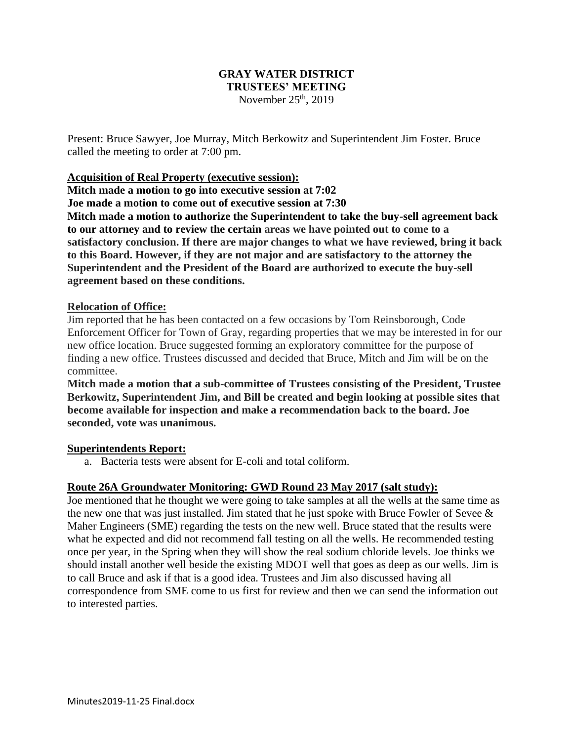### **GRAY WATER DISTRICT TRUSTEES' MEETING** November  $25<sup>th</sup>$ , 2019

Present: Bruce Sawyer, Joe Murray, Mitch Berkowitz and Superintendent Jim Foster. Bruce called the meeting to order at 7:00 pm.

### **Acquisition of Real Property (executive session):**

**Mitch made a motion to go into executive session at 7:02 Joe made a motion to come out of executive session at 7:30**

**Mitch made a motion to authorize the Superintendent to take the buy-sell agreement back to our attorney and to review the certain areas we have pointed out to come to a satisfactory conclusion. If there are major changes to what we have reviewed, bring it back to this Board. However, if they are not major and are satisfactory to the attorney the Superintendent and the President of the Board are authorized to execute the buy-sell agreement based on these conditions.**

#### **Relocation of Office:**

Jim reported that he has been contacted on a few occasions by Tom Reinsborough, Code Enforcement Officer for Town of Gray, regarding properties that we may be interested in for our new office location. Bruce suggested forming an exploratory committee for the purpose of finding a new office. Trustees discussed and decided that Bruce, Mitch and Jim will be on the committee.

**Mitch made a motion that a sub-committee of Trustees consisting of the President, Trustee Berkowitz, Superintendent Jim, and Bill be created and begin looking at possible sites that become available for inspection and make a recommendation back to the board. Joe seconded, vote was unanimous.**

#### **Superintendents Report:**

a. Bacteria tests were absent for E-coli and total coliform.

### **Route 26A Groundwater Monitoring: GWD Round 23 May 2017 (salt study):**

Joe mentioned that he thought we were going to take samples at all the wells at the same time as the new one that was just installed. Jim stated that he just spoke with Bruce Fowler of Sevee  $\&$ Maher Engineers (SME) regarding the tests on the new well. Bruce stated that the results were what he expected and did not recommend fall testing on all the wells. He recommended testing once per year, in the Spring when they will show the real sodium chloride levels. Joe thinks we should install another well beside the existing MDOT well that goes as deep as our wells. Jim is to call Bruce and ask if that is a good idea. Trustees and Jim also discussed having all correspondence from SME come to us first for review and then we can send the information out to interested parties.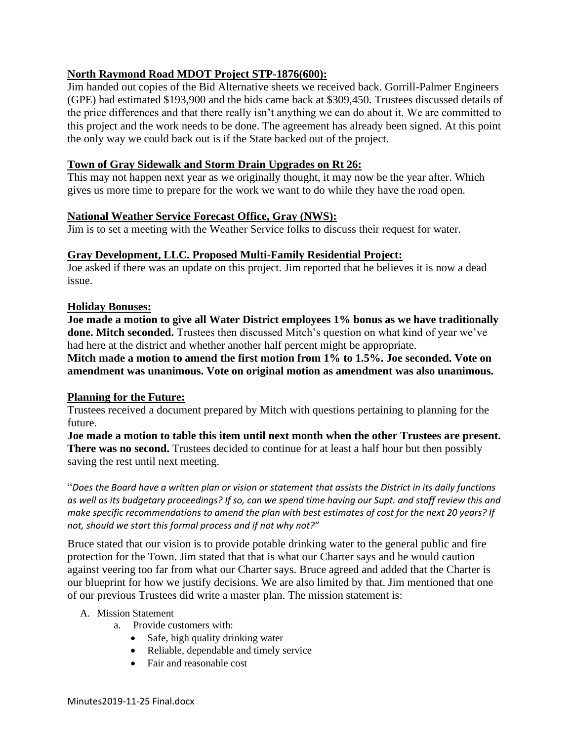# **North Raymond Road MDOT Project STP-1876(600):**

Jim handed out copies of the Bid Alternative sheets we received back. Gorrill-Palmer Engineers (GPE) had estimated \$193,900 and the bids came back at \$309,450. Trustees discussed details of the price differences and that there really isn't anything we can do about it. We are committed to this project and the work needs to be done. The agreement has already been signed. At this point the only way we could back out is if the State backed out of the project.

# **Town of Gray Sidewalk and Storm Drain Upgrades on Rt 26:**

This may not happen next year as we originally thought, it may now be the year after. Which gives us more time to prepare for the work we want to do while they have the road open.

# **National Weather Service Forecast Office, Gray (NWS):**

Jim is to set a meeting with the Weather Service folks to discuss their request for water.

## **Gray Development, LLC. Proposed Multi-Family Residential Project:**

Joe asked if there was an update on this project. Jim reported that he believes it is now a dead issue.

### **Holiday Bonuses:**

**Joe made a motion to give all Water District employees 1% bonus as we have traditionally done. Mitch seconded.** Trustees then discussed Mitch's question on what kind of year we've had here at the district and whether another half percent might be appropriate.

**Mitch made a motion to amend the first motion from 1% to 1.5%. Joe seconded. Vote on amendment was unanimous. Vote on original motion as amendment was also unanimous.**

## **Planning for the Future:**

Trustees received a document prepared by Mitch with questions pertaining to planning for the future.

**Joe made a motion to table this item until next month when the other Trustees are present. There was no second.** Trustees decided to continue for at least a half hour but then possibly saving the rest until next meeting.

"*Does the Board have a written plan or vision or statement that assists the District in its daily functions as well as its budgetary proceedings? If so, can we spend time having our Supt. and staff review this and make specific recommendations to amend the plan with best estimates of cost for the next 20 years? If not, should we start this formal process and if not why not?"*

Bruce stated that our vision is to provide potable drinking water to the general public and fire protection for the Town. Jim stated that that is what our Charter says and he would caution against veering too far from what our Charter says. Bruce agreed and added that the Charter is our blueprint for how we justify decisions. We are also limited by that. Jim mentioned that one of our previous Trustees did write a master plan. The mission statement is:

### A. Mission Statement

- a. Provide customers with:
	- Safe, high quality drinking water
	- Reliable, dependable and timely service
	- Fair and reasonable cost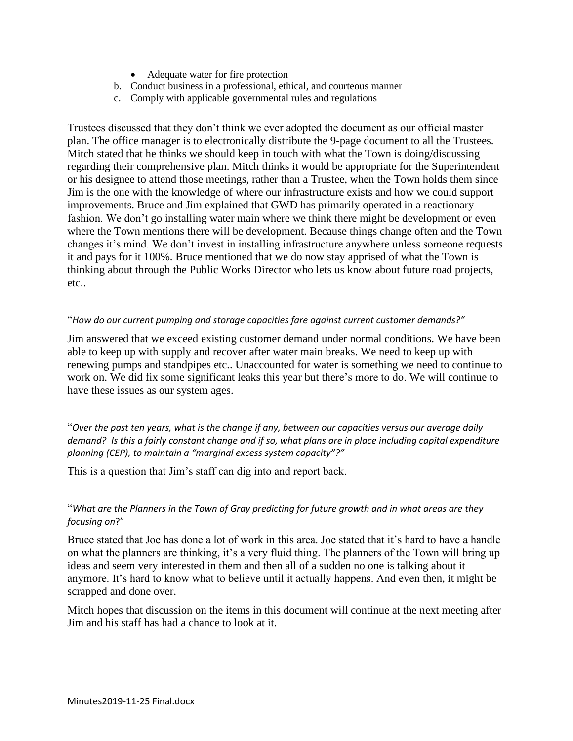- Adequate water for fire protection
- b. Conduct business in a professional, ethical, and courteous manner
- c. Comply with applicable governmental rules and regulations

Trustees discussed that they don't think we ever adopted the document as our official master plan. The office manager is to electronically distribute the 9-page document to all the Trustees. Mitch stated that he thinks we should keep in touch with what the Town is doing/discussing regarding their comprehensive plan. Mitch thinks it would be appropriate for the Superintendent or his designee to attend those meetings, rather than a Trustee, when the Town holds them since Jim is the one with the knowledge of where our infrastructure exists and how we could support improvements. Bruce and Jim explained that GWD has primarily operated in a reactionary fashion. We don't go installing water main where we think there might be development or even where the Town mentions there will be development. Because things change often and the Town changes it's mind. We don't invest in installing infrastructure anywhere unless someone requests it and pays for it 100%. Bruce mentioned that we do now stay apprised of what the Town is thinking about through the Public Works Director who lets us know about future road projects, etc..

#### "*How do our current pumping and storage capacities fare against current customer demands?"*

Jim answered that we exceed existing customer demand under normal conditions. We have been able to keep up with supply and recover after water main breaks. We need to keep up with renewing pumps and standpipes etc.. Unaccounted for water is something we need to continue to work on. We did fix some significant leaks this year but there's more to do. We will continue to have these issues as our system ages.

"*Over the past ten years, what is the change if any, between our capacities versus our average daily demand? Is this a fairly constant change and if so, what plans are in place including capital expenditure planning (CEP), to maintain a "marginal excess system capacity"?"*

This is a question that Jim's staff can dig into and report back.

### "*What are the Planners in the Town of Gray predicting for future growth and in what areas are they focusing on*?"

Bruce stated that Joe has done a lot of work in this area. Joe stated that it's hard to have a handle on what the planners are thinking, it's a very fluid thing. The planners of the Town will bring up ideas and seem very interested in them and then all of a sudden no one is talking about it anymore. It's hard to know what to believe until it actually happens. And even then, it might be scrapped and done over.

Mitch hopes that discussion on the items in this document will continue at the next meeting after Jim and his staff has had a chance to look at it.